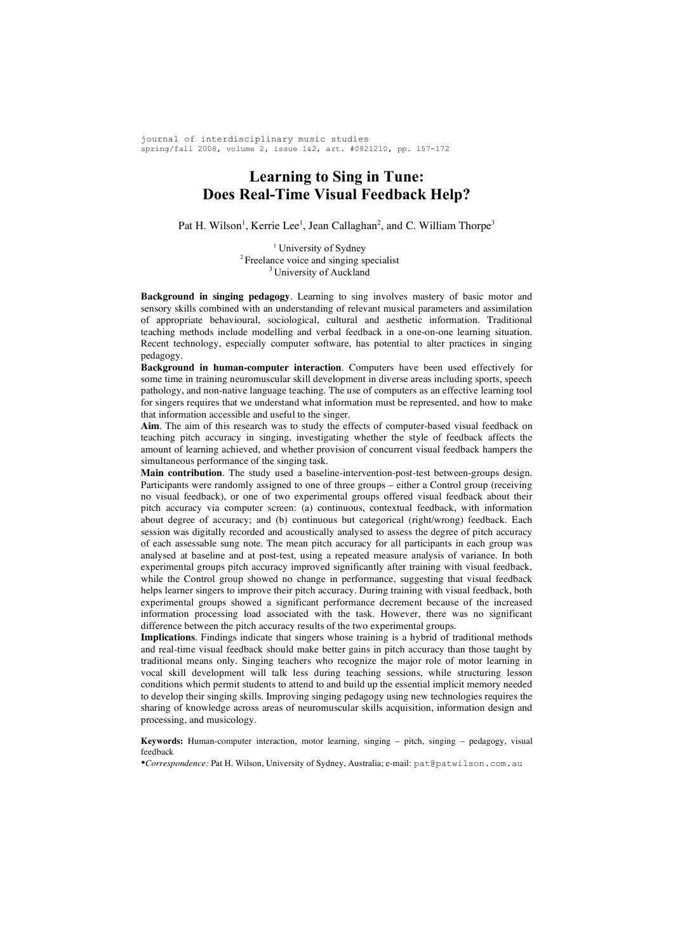journal of interdisciplinary music studies spring/fall 2008, volume 2, issue 1&2, art. #0821210, pp. 157-172

# **Learning to Sing in Tune: Does Real-Time Visual Feedback Help?**

Pat H. Wilson<sup>1</sup>, Kerrie Lee<sup>1</sup>, Jean Callaghan<sup>2</sup>, and C. William Thorpe<sup>3</sup>

<sup>1</sup> University of Sydney <sup>2</sup> Freelance voice and singing specialist <sup>3</sup> University of Auckland

**Background in singing pedagogy**. Learning to sing involves mastery of basic motor and sensory skills combined with an understanding of relevant musical parameters and assimilation of appropriate behavioural, sociological, cultural and aesthetic information. Traditional teaching methods include modelling and verbal feedback in a one-on-one learning situation. Recent technology, especially computer software, has potential to alter practices in singing pedagogy.

**Background in human-computer interaction**. Computers have been used effectively for some time in training neuromuscular skill development in diverse areas including sports, speech pathology, and non-native language teaching. The use of computers as an effective learning tool for singers requires that we understand what information must be represented, and how to make that information accessible and useful to the singer.

**Aim**. The aim of this research was to study the effects of computer-based visual feedback on teaching pitch accuracy in singing, investigating whether the style of feedback affects the amount of learning achieved, and whether provision of concurrent visual feedback hampers the simultaneous performance of the singing task.

**Main contribution**. The study used a baseline-intervention-post-test between-groups design. Participants were randomly assigned to one of three groups – either a Control group (receiving no visual feedback), or one of two experimental groups offered visual feedback about their pitch accuracy via computer screen: (a) continuous, contextual feedback, with information about degree of accuracy; and (b) continuous but categorical (right/wrong) feedback. Each session was digitally recorded and acoustically analysed to assess the degree of pitch accuracy of each assessable sung note. The mean pitch accuracy for all participants in each group was analysed at baseline and at post-test, using a repeated measure analysis of variance. In both experimental groups pitch accuracy improved significantly after training with visual feedback, while the Control group showed no change in performance, suggesting that visual feedback helps learner singers to improve their pitch accuracy. During training with visual feedback, both experimental groups showed a significant performance decrement because of the increased information processing load associated with the task. However, there was no significant difference between the pitch accuracy results of the two experimental groups.

**Implications**. Findings indicate that singers whose training is a hybrid of traditional methods and real-time visual feedback should make better gains in pitch accuracy than those taught by traditional means only. Singing teachers who recognize the major role of motor learning in vocal skill development will talk less during teaching sessions, while structuring lesson conditions which permit students to attend to and build up the essential implicit memory needed to develop their singing skills. Improving singing pedagogy using new technologies requires the sharing of knowledge across areas of neuromuscular skills acquisition, information design and processing, and musicology.

**Keywords:** Human-computer interaction, motor learning, singing – pitch, singing – pedagogy, visual feedback

•*Correspondence:* Pat H. Wilson, University of Sydney, Australia; e-mail: pat@patwilson.com.au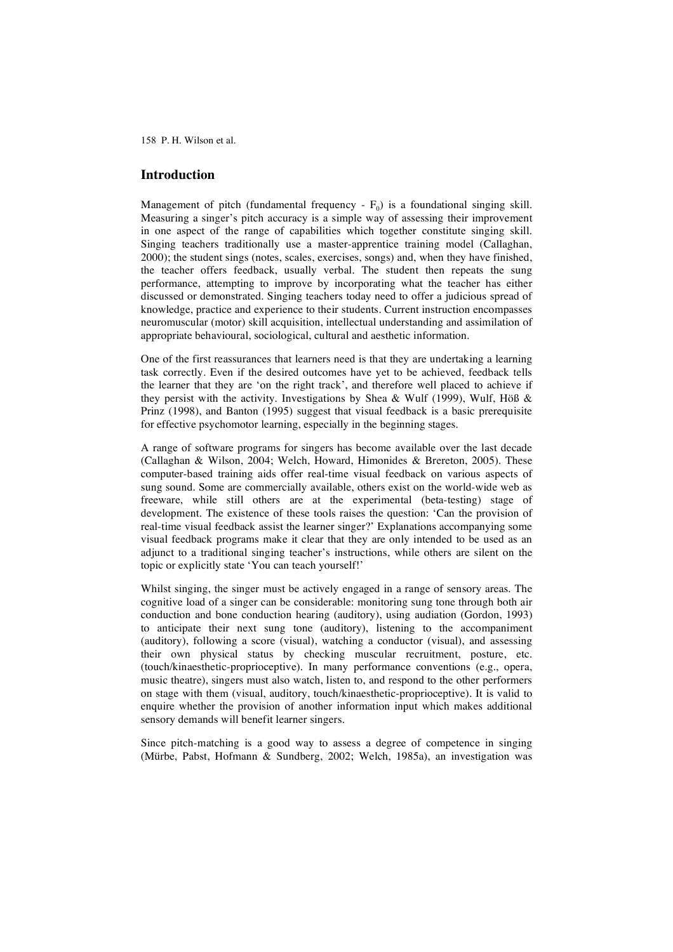### **Introduction**

Management of pitch (fundamental frequency -  $F_0$ ) is a foundational singing skill. Measuring a singer's pitch accuracy is a simple way of assessing their improvement in one aspect of the range of capabilities which together constitute singing skill. Singing teachers traditionally use a master-apprentice training model (Callaghan, 2000); the student sings (notes, scales, exercises, songs) and, when they have finished, the teacher offers feedback, usually verbal. The student then repeats the sung performance, attempting to improve by incorporating what the teacher has either discussed or demonstrated. Singing teachers today need to offer a judicious spread of knowledge, practice and experience to their students. Current instruction encompasses neuromuscular (motor) skill acquisition, intellectual understanding and assimilation of appropriate behavioural, sociological, cultural and aesthetic information.

One of the first reassurances that learners need is that they are undertaking a learning task correctly. Even if the desired outcomes have yet to be achieved, feedback tells the learner that they are 'on the right track', and therefore well placed to achieve if they persist with the activity. Investigations by Shea & Wulf (1999), Wulf, Höß & Prinz (1998), and Banton (1995) suggest that visual feedback is a basic prerequisite for effective psychomotor learning, especially in the beginning stages.

A range of software programs for singers has become available over the last decade (Callaghan & Wilson, 2004; Welch, Howard, Himonides & Brereton, 2005). These computer-based training aids offer real-time visual feedback on various aspects of sung sound. Some are commercially available, others exist on the world-wide web as freeware, while still others are at the experimental (beta-testing) stage of development. The existence of these tools raises the question: 'Can the provision of real-time visual feedback assist the learner singer?' Explanations accompanying some visual feedback programs make it clear that they are only intended to be used as an adjunct to a traditional singing teacher's instructions, while others are silent on the topic or explicitly state 'You can teach yourself!'

Whilst singing, the singer must be actively engaged in a range of sensory areas. The cognitive load of a singer can be considerable: monitoring sung tone through both air conduction and bone conduction hearing (auditory), using audiation (Gordon, 1993) to anticipate their next sung tone (auditory), listening to the accompaniment (auditory), following a score (visual), watching a conductor (visual), and assessing their own physical status by checking muscular recruitment, posture, etc. (touch/kinaesthetic-proprioceptive). In many performance conventions (e.g., opera, music theatre), singers must also watch, listen to, and respond to the other performers on stage with them (visual, auditory, touch/kinaesthetic-proprioceptive). It is valid to enquire whether the provision of another information input which makes additional sensory demands will benefit learner singers.

Since pitch-matching is a good way to assess a degree of competence in singing (Mürbe, Pabst, Hofmann & Sundberg, 2002; Welch, 1985a), an investigation was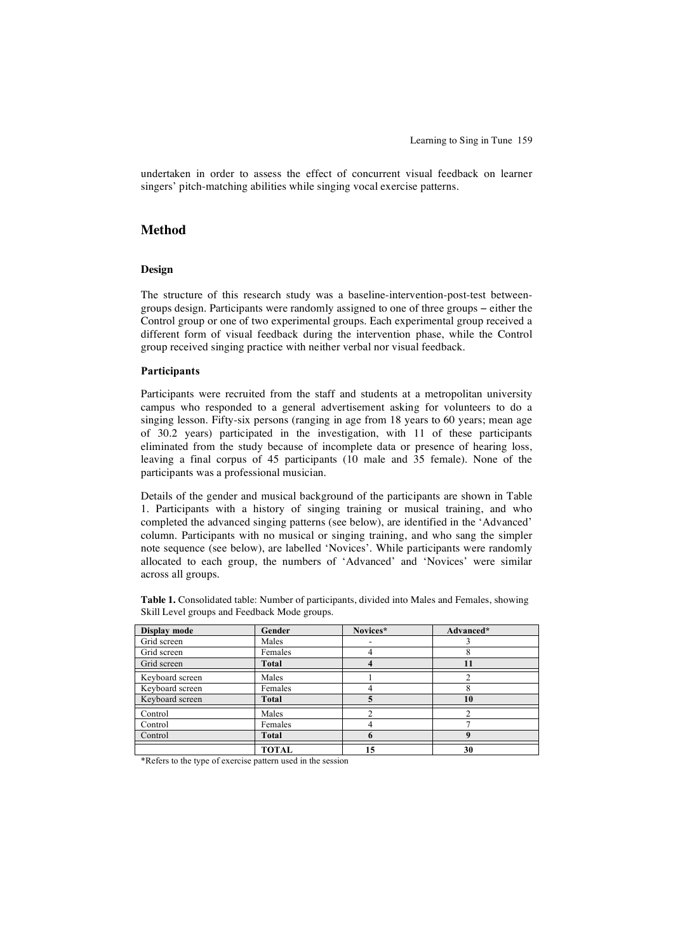undertaken in order to assess the effect of concurrent visual feedback on learner singers' pitch-matching abilities while singing vocal exercise patterns.

## **Method**

#### **Design**

The structure of this research study was a baseline-intervention-post-test betweengroups design. Participants were randomly assigned to one of three groups − either the Control group or one of two experimental groups. Each experimental group received a different form of visual feedback during the intervention phase, while the Control group received singing practice with neither verbal nor visual feedback.

#### **Participants**

Participants were recruited from the staff and students at a metropolitan university campus who responded to a general advertisement asking for volunteers to do a singing lesson. Fifty-six persons (ranging in age from 18 years to 60 years; mean age of 30.2 years) participated in the investigation, with 11 of these participants eliminated from the study because of incomplete data or presence of hearing loss, leaving a final corpus of 45 participants (10 male and 35 female). None of the participants was a professional musician.

Details of the gender and musical background of the participants are shown in Table 1. Participants with a history of singing training or musical training, and who completed the advanced singing patterns (see below), are identified in the 'Advanced' column. Participants with no musical or singing training, and who sang the simpler note sequence (see below), are labelled 'Novices'. While participants were randomly allocated to each group, the numbers of 'Advanced' and 'Novices' were similar across all groups.

| Display mode    | Gender       | Novices* | Advanced* |
|-----------------|--------------|----------|-----------|
| Grid screen     | Males        |          |           |
| Grid screen     | Females      |          |           |
| Grid screen     | Total        |          | 11        |
| Keyboard screen | Males        |          |           |
| Keyboard screen | Females      |          |           |
| Keyboard screen | Total        |          | 10        |
| Control         | Males        |          |           |
| Control         | Females      |          |           |
| Control         | <b>Total</b> |          |           |
|                 | TOTAL        | 15       | 30        |

**Table 1.** Consolidated table: Number of participants, divided into Males and Females, showing Skill Level groups and Feedback Mode groups.

\*Refers to the type of exercise pattern used in the session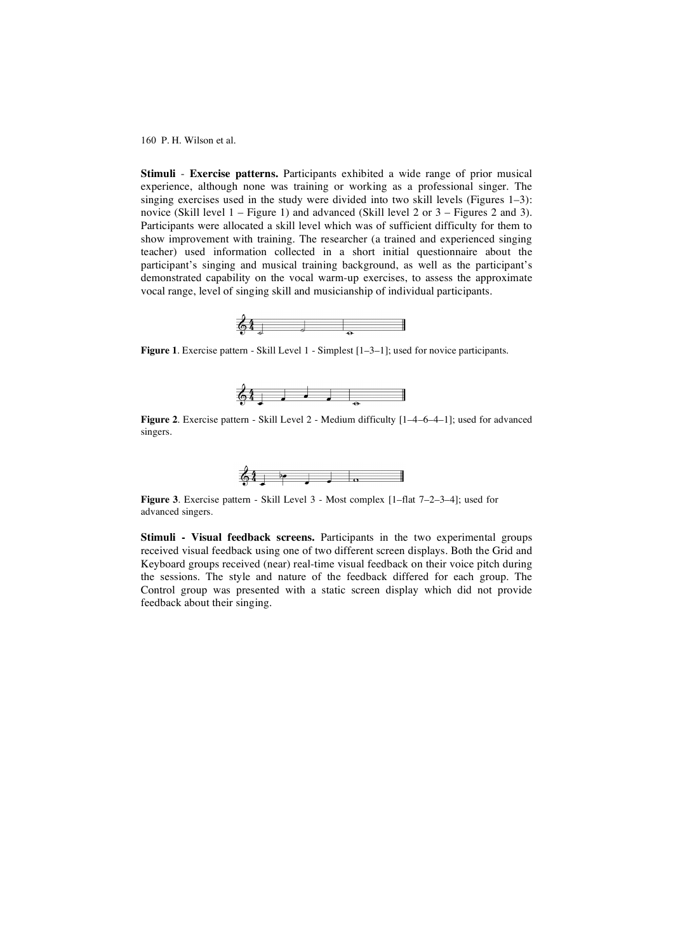**Stimuli** - **Exercise patterns.** Participants exhibited a wide range of prior musical experience, although none was training or working as a professional singer. The singing exercises used in the study were divided into two skill levels (Figures  $1-3$ ): novice (Skill level  $1$  – Figure 1) and advanced (Skill level  $2$  or  $3$  – Figures  $2$  and  $3$ ). Participants were allocated a skill level which was of sufficient difficulty for them to show improvement with training. The researcher (a trained and experienced singing teacher) used information collected in a short initial questionnaire about the participant's singing and musical training background, as well as the participant's demonstrated capability on the vocal warm-up exercises, to assess the approximate vocal range, level of singing skill and musicianship of individual participants.



**Figure 1**. Exercise pattern - Skill Level 1 - Simplest [1–3–1]; used for novice participants.



**Figure 2.** Exercise pattern - Skill Level 2 - Medium difficulty  $[1-4-6-4-1]$ ; used for advanced singers.



**Figure 3**. Exercise pattern - Skill Level 3 - Most complex [1–flat 7–2–3–4]; used for advanced singers.

**Stimuli - Visual feedback screens.** Participants in the two experimental groups received visual feedback using one of two different screen displays. Both the Grid and Keyboard groups received (near) real-time visual feedback on their voice pitch during the sessions. The style and nature of the feedback differed for each group. The Control group was presented with a static screen display which did not provide feedback about their singing.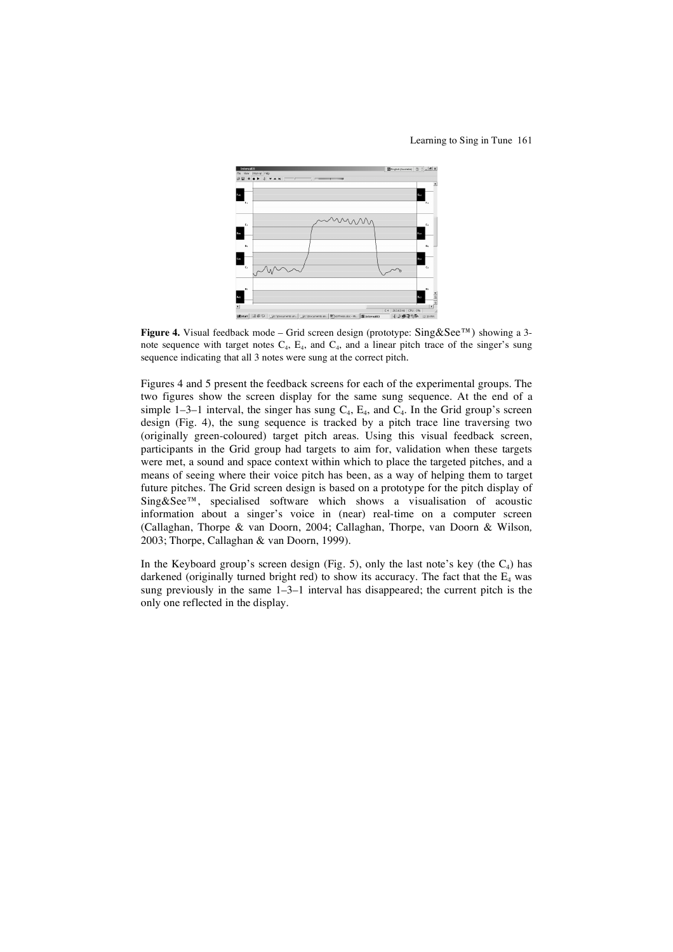Learning to Sing in Tune 161



**Figure 4.** Visual feedback mode – Grid screen design (prototype: Sing&See™) showing a 3 note sequence with target notes  $C_4$ ,  $E_4$ , and  $C_4$ , and a linear pitch trace of the singer's sung sequence indicating that all 3 notes were sung at the correct pitch.

Figures 4 and 5 present the feedback screens for each of the experimental groups. The two figures show the screen display for the same sung sequence. At the end of a simple 1–3–1 interval, the singer has sung  $C_4$ ,  $E_4$ , and  $C_4$ . In the Grid group's screen design (Fig. 4), the sung sequence is tracked by a pitch trace line traversing two (originally green-coloured) target pitch areas. Using this visual feedback screen, participants in the Grid group had targets to aim for, validation when these targets were met, a sound and space context within which to place the targeted pitches, and a means of seeing where their voice pitch has been, as a way of helping them to target future pitches. The Grid screen design is based on a prototype for the pitch display of Sing&See™, specialised software which shows a visualisation of acoustic information about a singer's voice in (near) real-time on a computer screen (Callaghan, Thorpe & van Doorn, 2004; Callaghan, Thorpe, van Doorn & Wilson*,* 2003; Thorpe, Callaghan & van Doorn, 1999).

In the Keyboard group's screen design (Fig. 5), only the last note's key (the  $C_4$ ) has darkened (originally turned bright red) to show its accuracy. The fact that the  $E_4$  was sung previously in the same 1–3–1 interval has disappeared; the current pitch is the only one reflected in the display.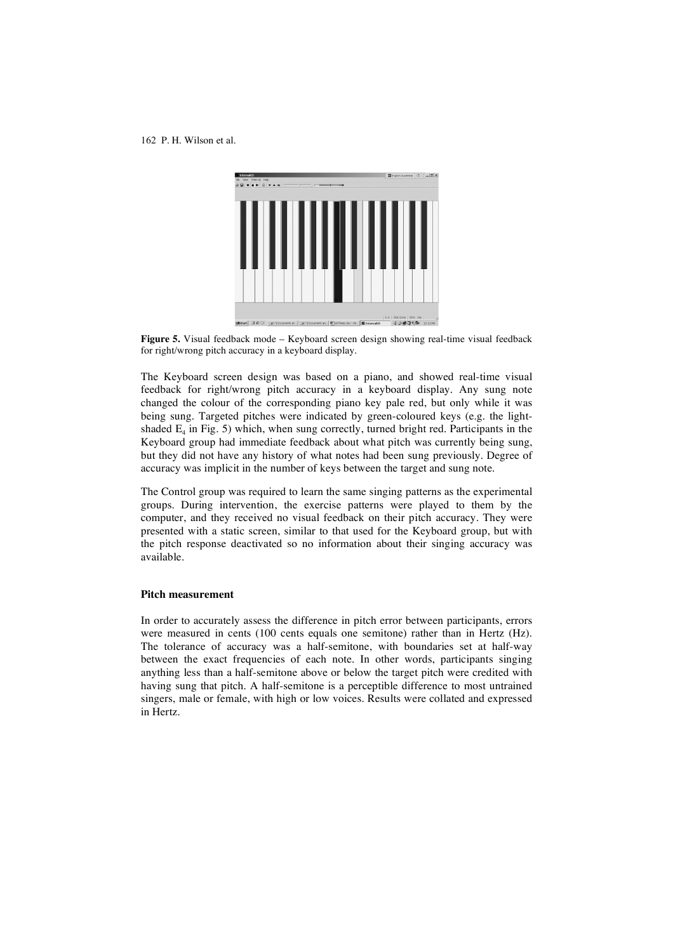

**Figure 5.** Visual feedback mode – Keyboard screen design showing real-time visual feedback for right/wrong pitch accuracy in a keyboard display.

The Keyboard screen design was based on a piano, and showed real-time visual feedback for right/wrong pitch accuracy in a keyboard display. Any sung note changed the colour of the corresponding piano key pale red, but only while it was being sung. Targeted pitches were indicated by green-coloured keys (e.g. the lightshaded  $E_4$  in Fig. 5) which, when sung correctly, turned bright red. Participants in the Keyboard group had immediate feedback about what pitch was currently being sung, but they did not have any history of what notes had been sung previously. Degree of accuracy was implicit in the number of keys between the target and sung note.

The Control group was required to learn the same singing patterns as the experimental groups. During intervention, the exercise patterns were played to them by the computer, and they received no visual feedback on their pitch accuracy. They were presented with a static screen, similar to that used for the Keyboard group, but with the pitch response deactivated so no information about their singing accuracy was available.

#### **Pitch measurement**

In order to accurately assess the difference in pitch error between participants, errors were measured in cents (100 cents equals one semitone) rather than in Hertz (Hz). The tolerance of accuracy was a half-semitone, with boundaries set at half-way between the exact frequencies of each note. In other words, participants singing anything less than a half-semitone above or below the target pitch were credited with having sung that pitch. A half-semitone is a perceptible difference to most untrained singers, male or female, with high or low voices. Results were collated and expressed in Hertz.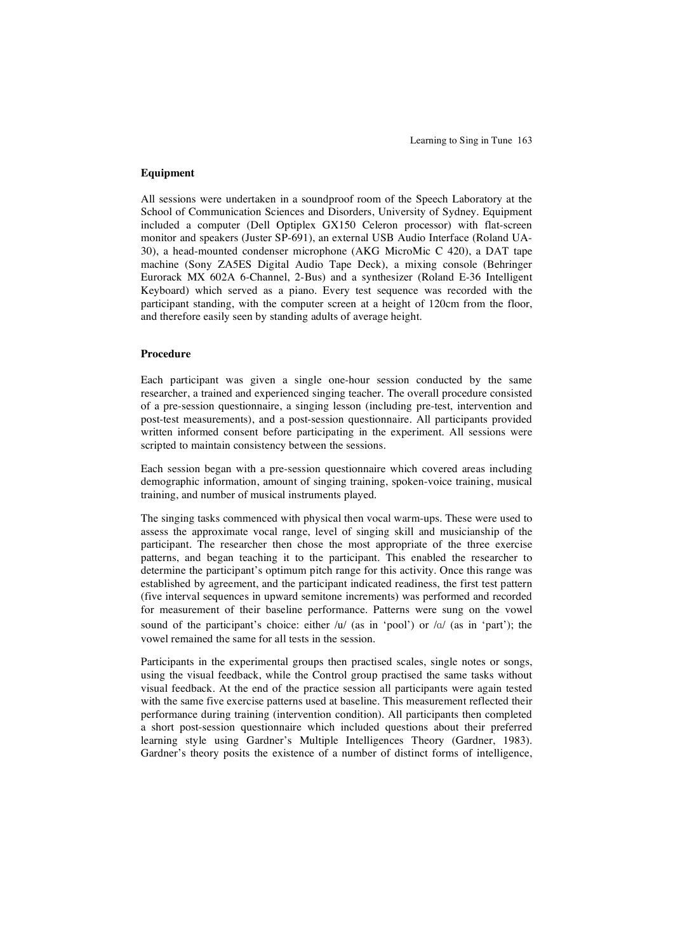#### **Equipment**

All sessions were undertaken in a soundproof room of the Speech Laboratory at the School of Communication Sciences and Disorders, University of Sydney. Equipment included a computer (Dell Optiplex GX150 Celeron processor) with flat-screen monitor and speakers (Juster SP-691), an external USB Audio Interface (Roland UA-30), a head-mounted condenser microphone (AKG MicroMic C 420), a DAT tape machine (Sony ZA5ES Digital Audio Tape Deck), a mixing console (Behringer Eurorack MX 602A 6-Channel, 2-Bus) and a synthesizer (Roland E-36 Intelligent Keyboard) which served as a piano. Every test sequence was recorded with the participant standing, with the computer screen at a height of 120cm from the floor, and therefore easily seen by standing adults of average height.

### **Procedure**

Each participant was given a single one-hour session conducted by the same researcher, a trained and experienced singing teacher. The overall procedure consisted of a pre-session questionnaire, a singing lesson (including pre-test, intervention and post-test measurements), and a post-session questionnaire. All participants provided written informed consent before participating in the experiment. All sessions were scripted to maintain consistency between the sessions.

Each session began with a pre-session questionnaire which covered areas including demographic information, amount of singing training, spoken-voice training, musical training, and number of musical instruments played.

The singing tasks commenced with physical then vocal warm-ups. These were used to assess the approximate vocal range, level of singing skill and musicianship of the participant. The researcher then chose the most appropriate of the three exercise patterns, and began teaching it to the participant. This enabled the researcher to determine the participant's optimum pitch range for this activity. Once this range was established by agreement, and the participant indicated readiness, the first test pattern (five interval sequences in upward semitone increments) was performed and recorded for measurement of their baseline performance. Patterns were sung on the vowel sound of the participant's choice: either  $/u'$  (as in 'pool') or  $/a'$  (as in 'part'); the vowel remained the same for all tests in the session.

Participants in the experimental groups then practised scales, single notes or songs, using the visual feedback, while the Control group practised the same tasks without visual feedback. At the end of the practice session all participants were again tested with the same five exercise patterns used at baseline. This measurement reflected their performance during training (intervention condition). All participants then completed a short post-session questionnaire which included questions about their preferred learning style using Gardner's Multiple Intelligences Theory (Gardner, 1983). Gardner's theory posits the existence of a number of distinct forms of intelligence,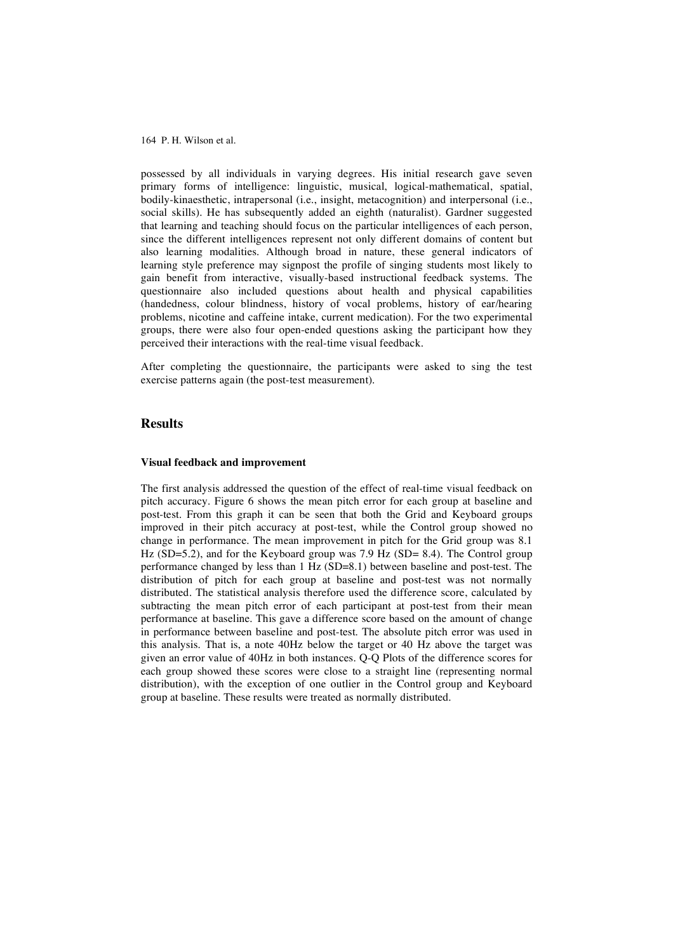possessed by all individuals in varying degrees. His initial research gave seven primary forms of intelligence: linguistic, musical, logical-mathematical, spatial, bodily-kinaesthetic, intrapersonal (i.e., insight, metacognition) and interpersonal (i.e., social skills). He has subsequently added an eighth (naturalist). Gardner suggested that learning and teaching should focus on the particular intelligences of each person, since the different intelligences represent not only different domains of content but also learning modalities. Although broad in nature, these general indicators of learning style preference may signpost the profile of singing students most likely to gain benefit from interactive, visually-based instructional feedback systems. The questionnaire also included questions about health and physical capabilities (handedness, colour blindness, history of vocal problems, history of ear/hearing problems, nicotine and caffeine intake, current medication). For the two experimental groups, there were also four open-ended questions asking the participant how they perceived their interactions with the real-time visual feedback.

After completing the questionnaire, the participants were asked to sing the test exercise patterns again (the post-test measurement).

### **Results**

#### **Visual feedback and improvement**

The first analysis addressed the question of the effect of real-time visual feedback on pitch accuracy. Figure 6 shows the mean pitch error for each group at baseline and post-test. From this graph it can be seen that both the Grid and Keyboard groups improved in their pitch accuracy at post-test, while the Control group showed no change in performance. The mean improvement in pitch for the Grid group was 8.1 Hz (SD=5.2), and for the Keyboard group was 7.9 Hz (SD= 8.4). The Control group performance changed by less than 1 Hz (SD=8.1) between baseline and post-test. The distribution of pitch for each group at baseline and post-test was not normally distributed. The statistical analysis therefore used the difference score, calculated by subtracting the mean pitch error of each participant at post-test from their mean performance at baseline. This gave a difference score based on the amount of change in performance between baseline and post-test. The absolute pitch error was used in this analysis. That is, a note 40Hz below the target or 40 Hz above the target was given an error value of 40Hz in both instances. Q-Q Plots of the difference scores for each group showed these scores were close to a straight line (representing normal distribution), with the exception of one outlier in the Control group and Keyboard group at baseline. These results were treated as normally distributed.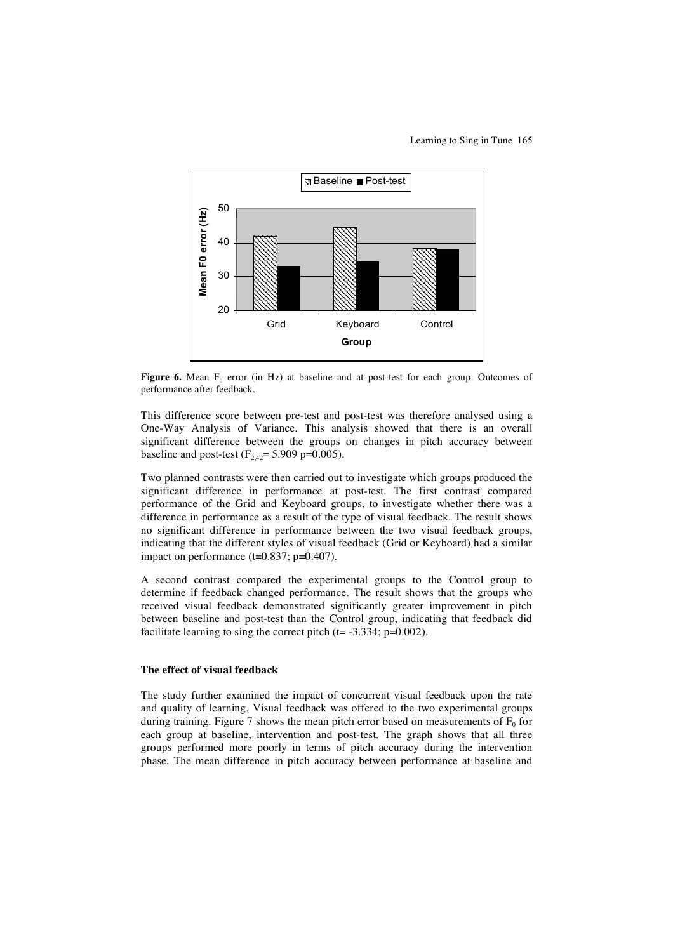Learning to Sing in Tune 165



**Figure 6.** Mean  $F_0$  error (in Hz) at baseline and at post-test for each group: Outcomes of performance after feedback.

This difference score between pre-test and post-test was therefore analysed using a One-Way Analysis of Variance. This analysis showed that there is an overall significant difference between the groups on changes in pitch accuracy between baseline and post-test  $(F_{2,42} = 5.909 \text{ p} = 0.005)$ .

Two planned contrasts were then carried out to investigate which groups produced the significant difference in performance at post-test. The first contrast compared performance of the Grid and Keyboard groups, to investigate whether there was a difference in performance as a result of the type of visual feedback. The result shows no significant difference in performance between the two visual feedback groups, indicating that the different styles of visual feedback (Grid or Keyboard) had a similar impact on performance  $(t=0.837; p=0.407)$ .

A second contrast compared the experimental groups to the Control group to determine if feedback changed performance. The result shows that the groups who received visual feedback demonstrated significantly greater improvement in pitch between baseline and post-test than the Control group, indicating that feedback did facilitate learning to sing the correct pitch  $(t= -3.334; p=0.002)$ .

#### **The effect of visual feedback**

The study further examined the impact of concurrent visual feedback upon the rate and quality of learning. Visual feedback was offered to the two experimental groups during training. Figure 7 shows the mean pitch error based on measurements of  $F_0$  for each group at baseline, intervention and post-test. The graph shows that all three groups performed more poorly in terms of pitch accuracy during the intervention phase. The mean difference in pitch accuracy between performance at baseline and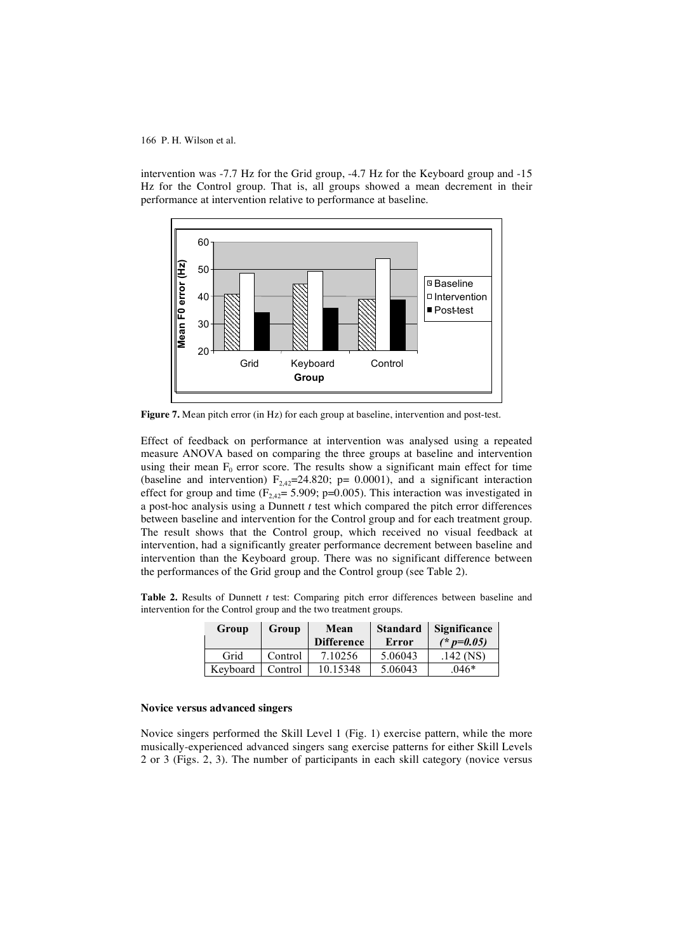intervention was -7.7 Hz for the Grid group, -4.7 Hz for the Keyboard group and -15 Hz for the Control group. That is, all groups showed a mean decrement in their performance at intervention relative to performance at baseline.



**Figure 7.** Mean pitch error (in Hz) for each group at baseline, intervention and post-test.

Effect of feedback on performance at intervention was analysed using a repeated measure ANOVA based on comparing the three groups at baseline and intervention using their mean  $F_0$  error score. The results show a significant main effect for time (baseline and intervention)  $F_{2,42}$ =24.820; p= 0.0001), and a significant interaction effect for group and time ( $F_{2,42}$ = 5.909; p=0.005). This interaction was investigated in a post-hoc analysis using a Dunnett *t* test which compared the pitch error differences between baseline and intervention for the Control group and for each treatment group. The result shows that the Control group, which received no visual feedback at intervention, had a significantly greater performance decrement between baseline and intervention than the Keyboard group. There was no significant difference between the performances of the Grid group and the Control group (see Table 2).

**Table 2.** Results of Dunnett *t* test: Comparing pitch error differences between baseline and intervention for the Control group and the two treatment groups.

| Group    | Group   | Mean<br><b>Difference</b> | <b>Standard</b><br>Error | <b>Significance</b><br>$(* p=0.05)$ |
|----------|---------|---------------------------|--------------------------|-------------------------------------|
| Grid     | Control | 7.10256                   | 5.06043                  | $.142$ (NS)                         |
| Keyboard | Control | 10.15348                  | 5.06043                  | $.046*$                             |

#### **Novice versus advanced singers**

Novice singers performed the Skill Level 1 (Fig. 1) exercise pattern, while the more musically-experienced advanced singers sang exercise patterns for either Skill Levels 2 or 3 (Figs. 2, 3). The number of participants in each skill category (novice versus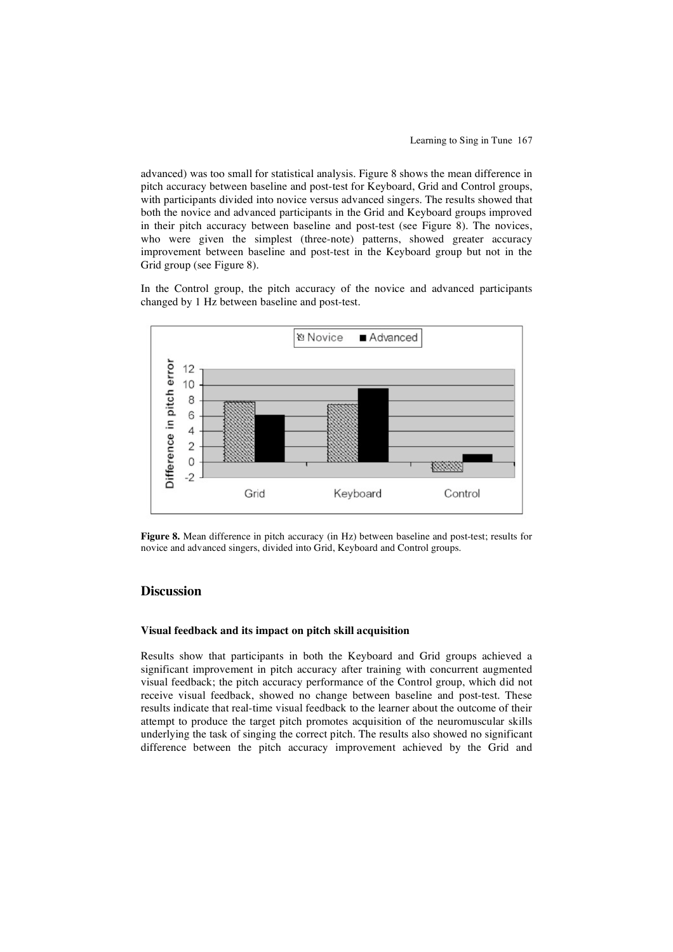advanced) was too small for statistical analysis. Figure 8 shows the mean difference in pitch accuracy between baseline and post-test for Keyboard, Grid and Control groups, with participants divided into novice versus advanced singers. The results showed that both the novice and advanced participants in the Grid and Keyboard groups improved in their pitch accuracy between baseline and post-test (see Figure 8). The novices, who were given the simplest (three-note) patterns, showed greater accuracy improvement between baseline and post-test in the Keyboard group but not in the Grid group (see Figure 8).

In the Control group, the pitch accuracy of the novice and advanced participants changed by 1 Hz between baseline and post-test.



**Figure 8.** Mean difference in pitch accuracy (in Hz) between baseline and post-test; results for novice and advanced singers, divided into Grid, Keyboard and Control groups.

## **Discussion**

#### **Visual feedback and its impact on pitch skill acquisition**

Results show that participants in both the Keyboard and Grid groups achieved a significant improvement in pitch accuracy after training with concurrent augmented visual feedback; the pitch accuracy performance of the Control group, which did not receive visual feedback, showed no change between baseline and post-test. These results indicate that real-time visual feedback to the learner about the outcome of their attempt to produce the target pitch promotes acquisition of the neuromuscular skills underlying the task of singing the correct pitch. The results also showed no significant difference between the pitch accuracy improvement achieved by the Grid and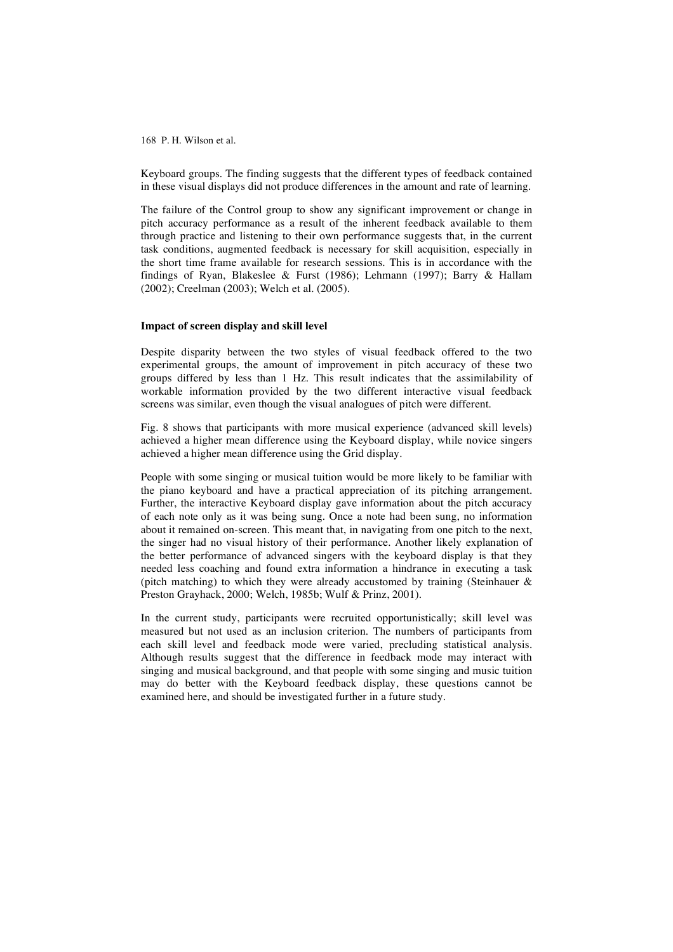Keyboard groups. The finding suggests that the different types of feedback contained in these visual displays did not produce differences in the amount and rate of learning.

The failure of the Control group to show any significant improvement or change in pitch accuracy performance as a result of the inherent feedback available to them through practice and listening to their own performance suggests that, in the current task conditions, augmented feedback is necessary for skill acquisition, especially in the short time frame available for research sessions. This is in accordance with the findings of Ryan, Blakeslee & Furst (1986); Lehmann (1997); Barry & Hallam (2002); Creelman (2003); Welch et al. (2005).

#### **Impact of screen display and skill level**

Despite disparity between the two styles of visual feedback offered to the two experimental groups, the amount of improvement in pitch accuracy of these two groups differed by less than 1 Hz. This result indicates that the assimilability of workable information provided by the two different interactive visual feedback screens was similar, even though the visual analogues of pitch were different.

Fig. 8 shows that participants with more musical experience (advanced skill levels) achieved a higher mean difference using the Keyboard display, while novice singers achieved a higher mean difference using the Grid display.

People with some singing or musical tuition would be more likely to be familiar with the piano keyboard and have a practical appreciation of its pitching arrangement. Further, the interactive Keyboard display gave information about the pitch accuracy of each note only as it was being sung. Once a note had been sung, no information about it remained on-screen. This meant that, in navigating from one pitch to the next, the singer had no visual history of their performance. Another likely explanation of the better performance of advanced singers with the keyboard display is that they needed less coaching and found extra information a hindrance in executing a task (pitch matching) to which they were already accustomed by training (Steinhauer  $\&$ Preston Grayhack, 2000; Welch, 1985b; Wulf & Prinz, 2001).

In the current study, participants were recruited opportunistically; skill level was measured but not used as an inclusion criterion. The numbers of participants from each skill level and feedback mode were varied, precluding statistical analysis. Although results suggest that the difference in feedback mode may interact with singing and musical background, and that people with some singing and music tuition may do better with the Keyboard feedback display, these questions cannot be examined here, and should be investigated further in a future study.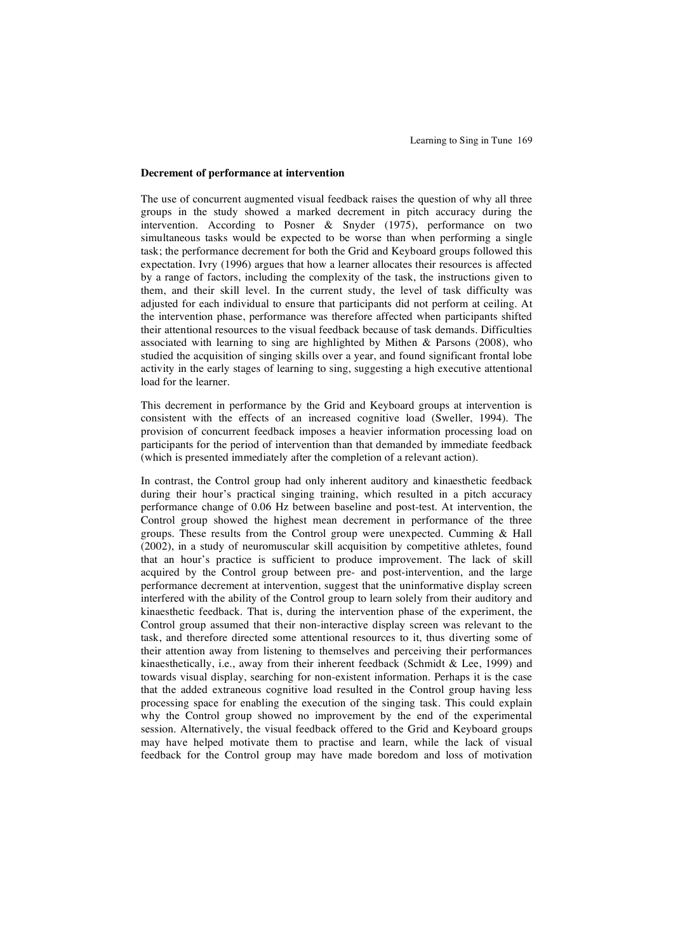#### **Decrement of performance at intervention**

The use of concurrent augmented visual feedback raises the question of why all three groups in the study showed a marked decrement in pitch accuracy during the intervention. According to Posner & Snyder (1975), performance on two simultaneous tasks would be expected to be worse than when performing a single task; the performance decrement for both the Grid and Keyboard groups followed this expectation. Ivry (1996) argues that how a learner allocates their resources is affected by a range of factors, including the complexity of the task, the instructions given to them, and their skill level. In the current study, the level of task difficulty was adjusted for each individual to ensure that participants did not perform at ceiling. At the intervention phase, performance was therefore affected when participants shifted their attentional resources to the visual feedback because of task demands. Difficulties associated with learning to sing are highlighted by Mithen & Parsons (2008), who studied the acquisition of singing skills over a year, and found significant frontal lobe activity in the early stages of learning to sing, suggesting a high executive attentional load for the learner.

This decrement in performance by the Grid and Keyboard groups at intervention is consistent with the effects of an increased cognitive load (Sweller, 1994). The provision of concurrent feedback imposes a heavier information processing load on participants for the period of intervention than that demanded by immediate feedback (which is presented immediately after the completion of a relevant action).

In contrast, the Control group had only inherent auditory and kinaesthetic feedback during their hour's practical singing training, which resulted in a pitch accuracy performance change of 0.06 Hz between baseline and post-test. At intervention, the Control group showed the highest mean decrement in performance of the three groups. These results from the Control group were unexpected. Cumming & Hall (2002), in a study of neuromuscular skill acquisition by competitive athletes, found that an hour's practice is sufficient to produce improvement. The lack of skill acquired by the Control group between pre- and post-intervention, and the large performance decrement at intervention, suggest that the uninformative display screen interfered with the ability of the Control group to learn solely from their auditory and kinaesthetic feedback. That is, during the intervention phase of the experiment, the Control group assumed that their non-interactive display screen was relevant to the task, and therefore directed some attentional resources to it, thus diverting some of their attention away from listening to themselves and perceiving their performances kinaesthetically, i.e., away from their inherent feedback (Schmidt & Lee, 1999) and towards visual display, searching for non-existent information. Perhaps it is the case that the added extraneous cognitive load resulted in the Control group having less processing space for enabling the execution of the singing task. This could explain why the Control group showed no improvement by the end of the experimental session. Alternatively, the visual feedback offered to the Grid and Keyboard groups may have helped motivate them to practise and learn, while the lack of visual feedback for the Control group may have made boredom and loss of motivation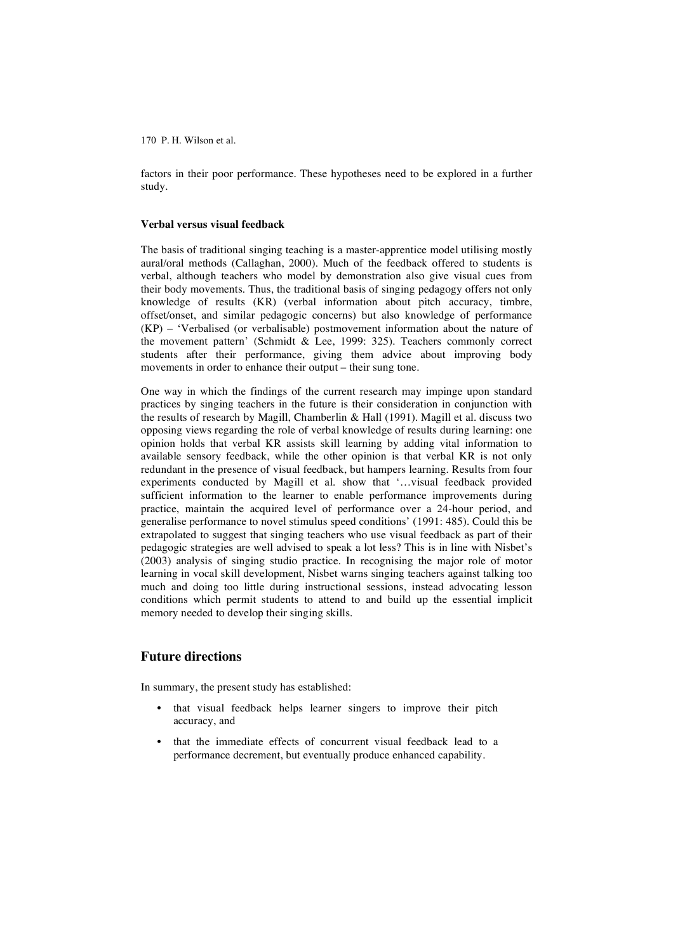factors in their poor performance. These hypotheses need to be explored in a further study.

#### **Verbal versus visual feedback**

The basis of traditional singing teaching is a master-apprentice model utilising mostly aural/oral methods (Callaghan, 2000). Much of the feedback offered to students is verbal, although teachers who model by demonstration also give visual cues from their body movements. Thus, the traditional basis of singing pedagogy offers not only knowledge of results (KR) (verbal information about pitch accuracy, timbre, offset/onset, and similar pedagogic concerns) but also knowledge of performance (KP) – 'Verbalised (or verbalisable) postmovement information about the nature of the movement pattern' (Schmidt & Lee, 1999: 325). Teachers commonly correct students after their performance, giving them advice about improving body movements in order to enhance their output – their sung tone.

One way in which the findings of the current research may impinge upon standard practices by singing teachers in the future is their consideration in conjunction with the results of research by Magill, Chamberlin & Hall (1991). Magill et al*.* discuss two opposing views regarding the role of verbal knowledge of results during learning: one opinion holds that verbal KR assists skill learning by adding vital information to available sensory feedback, while the other opinion is that verbal KR is not only redundant in the presence of visual feedback, but hampers learning. Results from four experiments conducted by Magill et al*.* show that '…visual feedback provided sufficient information to the learner to enable performance improvements during practice, maintain the acquired level of performance over a 24-hour period, and generalise performance to novel stimulus speed conditions' (1991: 485). Could this be extrapolated to suggest that singing teachers who use visual feedback as part of their pedagogic strategies are well advised to speak a lot less? This is in line with Nisbet's (2003) analysis of singing studio practice. In recognising the major role of motor learning in vocal skill development, Nisbet warns singing teachers against talking too much and doing too little during instructional sessions, instead advocating lesson conditions which permit students to attend to and build up the essential implicit memory needed to develop their singing skills.

## **Future directions**

In summary, the present study has established:

- that visual feedback helps learner singers to improve their pitch accuracy, and
- that the immediate effects of concurrent visual feedback lead to a performance decrement, but eventually produce enhanced capability.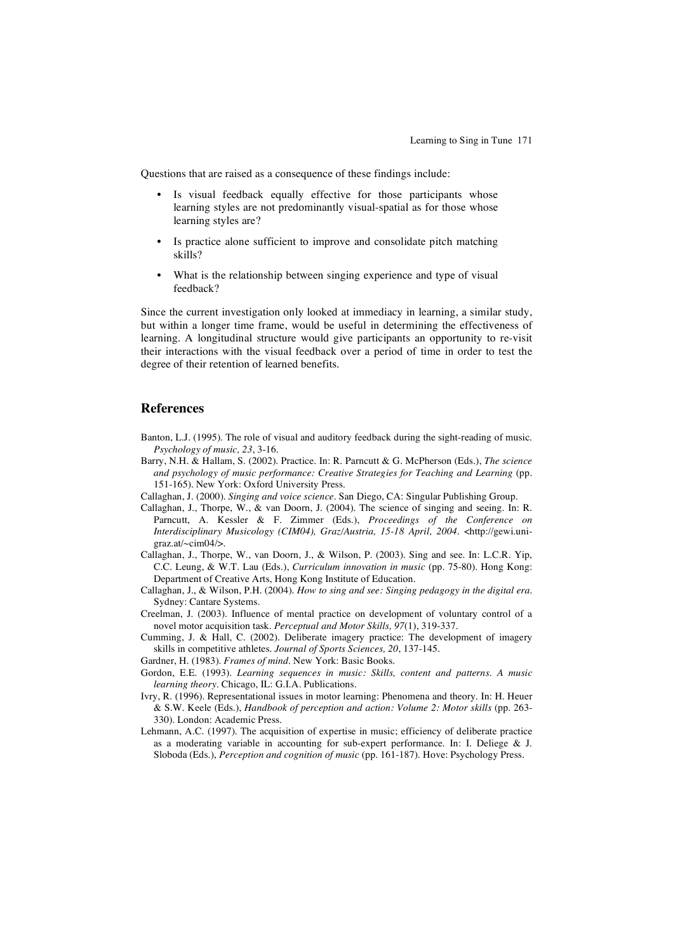Questions that are raised as a consequence of these findings include:

- Is visual feedback equally effective for those participants whose learning styles are not predominantly visual-spatial as for those whose learning styles are?
- Is practice alone sufficient to improve and consolidate pitch matching skills?
- What is the relationship between singing experience and type of visual feedback?

Since the current investigation only looked at immediacy in learning, a similar study, but within a longer time frame, would be useful in determining the effectiveness of learning. A longitudinal structure would give participants an opportunity to re-visit their interactions with the visual feedback over a period of time in order to test the degree of their retention of learned benefits.

### **References**

- Banton, L.J. (1995). The role of visual and auditory feedback during the sight-reading of music. *Psychology of music, 23*, 3-16.
- Barry, N.H. & Hallam, S. (2002). Practice*.* In: R. Parncutt & G. McPherson (Eds.), *The science and psychology of music performance: Creative Strategies for Teaching and Learning* (pp. 151-165). New York: Oxford University Press.
- Callaghan, J. (2000). *Singing and voice science.* San Diego, CA: Singular Publishing Group.
- Callaghan, J., Thorpe, W., & van Doorn, J. (2004). The science of singing and seeing. In: R. Parncutt, A. Kessler & F. Zimmer (Eds.), *Proceedings of the Conference on Interdisciplinary Musicology (CIM04), Graz/Austria, 15-18 April, 2004.* <http://gewi.unigraz.at/~cim04/>.
- Callaghan, J., Thorpe, W., van Doorn, J., & Wilson, P. (2003). Sing and see. In: L.C.R. Yip, C.C. Leung, & W.T. Lau (Eds.), *Curriculum innovation in music* (pp. 75-80). Hong Kong: Department of Creative Arts, Hong Kong Institute of Education.
- Callaghan, J., & Wilson, P.H. (2004). *How to sing and see: Singing pedagogy in the digital era.* Sydney: Cantare Systems.
- Creelman, J. (2003). Influence of mental practice on development of voluntary control of a novel motor acquisition task. *Perceptual and Motor Skills, 97*(1), 319-337.
- Cumming, J. & Hall, C. (2002). Deliberate imagery practice: The development of imagery skills in competitive athletes. *Journal of Sports Sciences, 20*, 137-145.
- Gardner, H. (1983). *Frames of mind*. New York: Basic Books.
- Gordon, E.E. (1993). *Learning sequences in music: Skills, content and patterns. A music learning theory.* Chicago, IL: G.I.A. Publications.
- Ivry, R. (1996). Representational issues in motor learning: Phenomena and theory. In: H. Heuer & S.W. Keele (Eds.), *Handbook of perception and action: Volume 2: Motor skills* (pp. 263- 330). London: Academic Press.
- Lehmann, A.C. (1997). The acquisition of expertise in music; efficiency of deliberate practice as a moderating variable in accounting for sub-expert performance. In: I. Deliege & J. Sloboda (Eds.), *Perception and cognition of music* (pp. 161-187). Hove: Psychology Press.